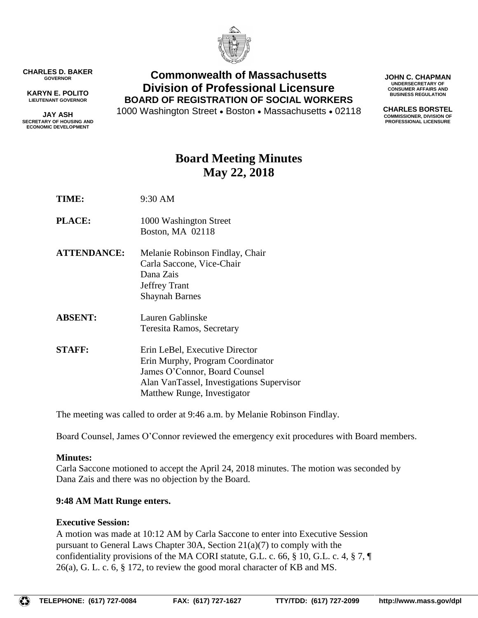

**CHARLES D. BAKER GOVERNOR**

**KARYN E. POLITO LIEUTENANT GOVERNOR**

**JAY ASH SECRETARY OF HOUSING AND ECONOMIC DEVELOPMENT**

### **Commonwealth of Massachusetts Division of Professional Licensure BOARD OF REGISTRATION OF SOCIAL WORKERS**

1000 Washington Street • Boston • Massachusetts • 02118

**JOHN C. CHAPMAN UNDERSECRETARY OF CONSUMER AFFAIRS AND BUSINESS REGULATION**

**CHARLES BORSTEL COMMISSIONER, DIVISION OF PROFESSIONAL LICENSURE**

## **Board Meeting Minutes May 22, 2018**

**TIME:** 9:30 AM

- **PLACE:** 1000 Washington Street Boston, MA 02118
- **ATTENDANCE:** Melanie Robinson Findlay, Chair Carla Saccone, Vice-Chair Dana Zais Jeffrey Trant Shaynah Barnes
- **ABSENT:** Lauren Gablinske Teresita Ramos, Secretary
- **STAFF:** Erin LeBel, Executive Director Erin Murphy, Program Coordinator James O'Connor, Board Counsel Alan VanTassel, Investigations Supervisor Matthew Runge, Investigator

The meeting was called to order at 9:46 a.m. by Melanie Robinson Findlay.

Board Counsel, James O'Connor reviewed the emergency exit procedures with Board members.

#### **Minutes:**

Carla Saccone motioned to accept the April 24, 2018 minutes. The motion was seconded by Dana Zais and there was no objection by the Board.

#### **9:48 AM Matt Runge enters.**

#### **Executive Session:**

A motion was made at 10:12 AM by Carla Saccone to enter into Executive Session pursuant to General Laws Chapter 30A, Section 21(a)(7) to comply with the confidentiality provisions of the MA CORI statute, G.L. c. 66, § 10, G.L. c. 4, § 7,  $\P$ 26(a), G. L. c. 6, § 172, to review the good moral character of KB and MS.

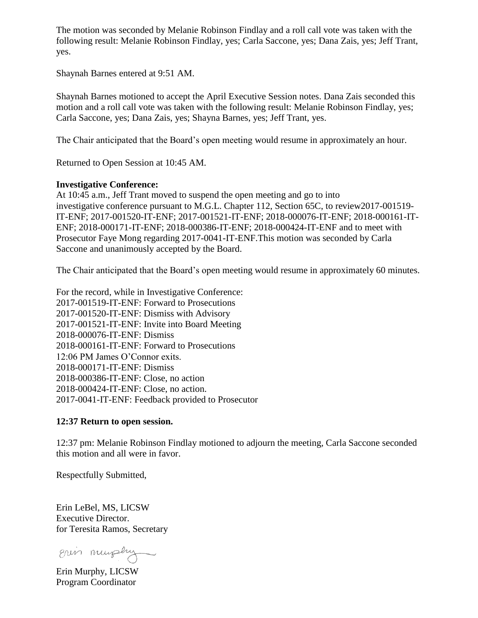The motion was seconded by Melanie Robinson Findlay and a roll call vote was taken with the following result: Melanie Robinson Findlay, yes; Carla Saccone, yes; Dana Zais, yes; Jeff Trant, yes.

Shaynah Barnes entered at 9:51 AM.

Shaynah Barnes motioned to accept the April Executive Session notes. Dana Zais seconded this motion and a roll call vote was taken with the following result: Melanie Robinson Findlay, yes; Carla Saccone, yes; Dana Zais, yes; Shayna Barnes, yes; Jeff Trant, yes.

The Chair anticipated that the Board's open meeting would resume in approximately an hour.

Returned to Open Session at 10:45 AM.

#### **Investigative Conference:**

At 10:45 a.m., Jeff Trant moved to suspend the open meeting and go to into investigative conference pursuant to M.G.L. Chapter 112, Section 65C, to review2017-001519- IT-ENF; 2017-001520-IT-ENF; 2017-001521-IT-ENF; 2018-000076-IT-ENF; 2018-000161-IT-ENF; 2018-000171-IT-ENF; 2018-000386-IT-ENF; 2018-000424-IT-ENF and to meet with Prosecutor Faye Mong regarding 2017-0041-IT-ENF.This motion was seconded by Carla Saccone and unanimously accepted by the Board.

The Chair anticipated that the Board's open meeting would resume in approximately 60 minutes.

For the record, while in Investigative Conference: 2017-001519-IT-ENF: Forward to Prosecutions 2017-001520-IT-ENF: Dismiss with Advisory 2017-001521-IT-ENF: Invite into Board Meeting 2018-000076-IT-ENF: Dismiss 2018-000161-IT-ENF: Forward to Prosecutions 12:06 PM James O'Connor exits. 2018-000171-IT-ENF: Dismiss 2018-000386-IT-ENF: Close, no action 2018-000424-IT-ENF: Close, no action. 2017-0041-IT-ENF: Feedback provided to Prosecutor

#### **12:37 Return to open session.**

12:37 pm: Melanie Robinson Findlay motioned to adjourn the meeting, Carla Saccone seconded this motion and all were in favor.

Respectfully Submitted,

Erin LeBel, MS, LICSW Executive Director. for Teresita Ramos, Secretary

Erin murphy

Erin Murphy, LICSW Program Coordinator